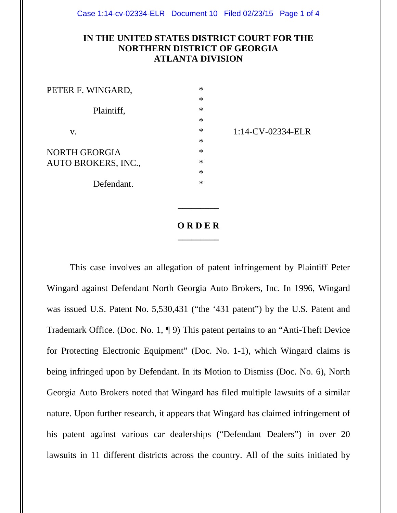## **IN THE UNITED STATES DISTRICT COURT FOR THE NORTHERN DISTRICT OF GEORGIA ATLANTA DIVISION**

| PETER F. WINGARD,          | $\ast$ |
|----------------------------|--------|
|                            | $\ast$ |
| Plaintiff,                 | $\ast$ |
|                            | $\ast$ |
| V.                         | $\ast$ |
|                            | $\ast$ |
| NORTH GEORGIA              | $\ast$ |
| <b>AUTO BROKERS, INC.,</b> | $\ast$ |
|                            | $\ast$ |
| Defendant.                 | $\ast$ |

1:14-CV-02334-ELR

## **O R D E R \_\_\_\_\_\_\_\_\_**

\_\_\_\_\_\_\_\_\_

This case involves an allegation of patent infringement by Plaintiff Peter Wingard against Defendant North Georgia Auto Brokers, Inc. In 1996, Wingard was issued U.S. Patent No. 5,530,431 ("the '431 patent") by the U.S. Patent and Trademark Office. (Doc. No. 1, ¶ 9) This patent pertains to an "Anti-Theft Device for Protecting Electronic Equipment" (Doc. No. 1-1), which Wingard claims is being infringed upon by Defendant. In its Motion to Dismiss (Doc. No. 6), North Georgia Auto Brokers noted that Wingard has filed multiple lawsuits of a similar nature. Upon further research, it appears that Wingard has claimed infringement of his patent against various car dealerships ("Defendant Dealers") in over 20 lawsuits in 11 different districts across the country. All of the suits initiated by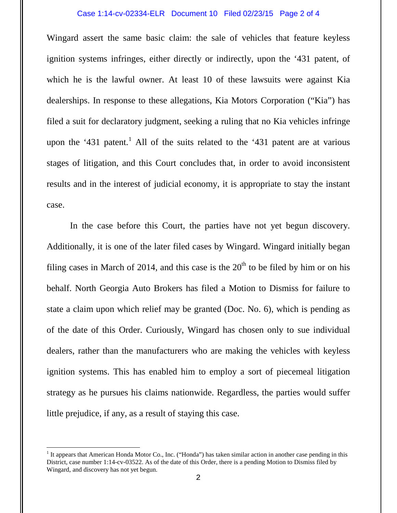## Case 1:14-cv-02334-ELR Document 10 Filed 02/23/15 Page 2 of 4

Wingard assert the same basic claim: the sale of vehicles that feature keyless ignition systems infringes, either directly or indirectly, upon the '431 patent, of which he is the lawful owner. At least 10 of these lawsuits were against Kia dealerships. In response to these allegations, Kia Motors Corporation ("Kia") has filed a suit for declaratory judgment, seeking a ruling that no Kia vehicles infringe upon the '431 patent.<sup>1</sup> All of the suits related to the '431 patent are at various stages of litigation, and this Court concludes that, in order to avoid inconsistent results and in the interest of judicial economy, it is appropriate to stay the instant case.

In the case before this Court, the parties have not yet begun discovery. Additionally, it is one of the later filed cases by Wingard. Wingard initially began filing cases in March of 2014, and this case is the  $20<sup>th</sup>$  to be filed by him or on his behalf. North Georgia Auto Brokers has filed a Motion to Dismiss for failure to state a claim upon which relief may be granted (Doc. No. 6), which is pending as of the date of this Order. Curiously, Wingard has chosen only to sue individual dealers, rather than the manufacturers who are making the vehicles with keyless ignition systems. This has enabled him to employ a sort of piecemeal litigation strategy as he pursues his claims nationwide. Regardless, the parties would suffer little prejudice, if any, as a result of staying this case.

l

<sup>&</sup>lt;sup>1</sup> It appears that American Honda Motor Co., Inc. ("Honda") has taken similar action in another case pending in this District, case number 1:14-cv-03522. As of the date of this Order, there is a pending Motion to Dismiss filed by Wingard, and discovery has not yet begun.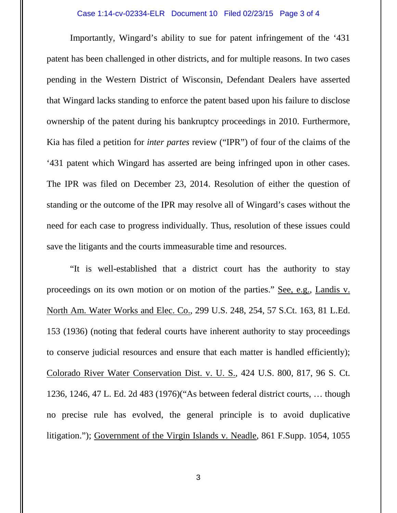Importantly, Wingard's ability to sue for patent infringement of the '431 patent has been challenged in other districts, and for multiple reasons. In two cases pending in the Western District of Wisconsin, Defendant Dealers have asserted that Wingard lacks standing to enforce the patent based upon his failure to disclose ownership of the patent during his bankruptcy proceedings in 2010. Furthermore, Kia has filed a petition for *inter partes* review ("IPR") of four of the claims of the '431 patent which Wingard has asserted are being infringed upon in other cases. The IPR was filed on December 23, 2014. Resolution of either the question of standing or the outcome of the IPR may resolve all of Wingard's cases without the need for each case to progress individually. Thus, resolution of these issues could save the litigants and the courts immeasurable time and resources.

"It is well-established that a district court has the authority to stay proceedings on its own motion or on motion of the parties." See, e.g., Landis v. North Am. Water Works and Elec. Co., 299 U.S. 248, 254, 57 S.Ct. 163, 81 L.Ed. 153 (1936) (noting that federal courts have inherent authority to stay proceedings to conserve judicial resources and ensure that each matter is handled efficiently); Colorado River Water Conservation Dist. v. U. S., 424 U.S. 800, 817, 96 S. Ct. 1236, 1246, 47 L. Ed. 2d 483 (1976)("As between federal district courts, … though no precise rule has evolved, the general principle is to avoid duplicative litigation."); Government of the Virgin Islands v. Neadle, 861 F.Supp. 1054, 1055